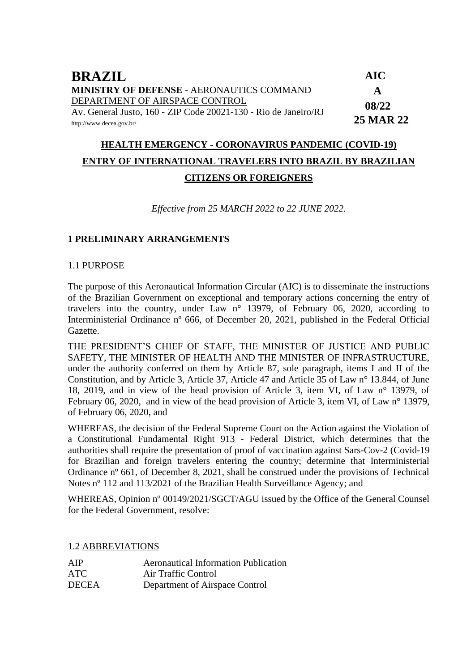| <b>BRAZIL</b>                                                   | <b>AIC</b>       |
|-----------------------------------------------------------------|------------------|
| <b>MINISTRY OF DEFENSE - AERONAUTICS COMMAND</b>                | A                |
| DEPARTMENT OF AIRSPACE CONTROL                                  | 08/22            |
| Av. General Justo, 160 - ZIP Code 20021-130 - Rio de Janeiro/RJ |                  |
| http://www.decea.gov.br/                                        | <b>25 MAR 22</b> |

# **HEALTH EMERGENCY - CORONAVIRUS PANDEMIC (COVID-19) ENTRY OF INTERNATIONAL TRAVELERS INTO BRAZIL BY BRAZILIAN CITIZENS OR FOREIGNERS**

*Effective from 25 MARCH 2022 to 22 JUNE 2022.*

### **1 PRELIMINARY ARRANGEMENTS**

#### 1.1 PURPOSE

The purpose of this Aeronautical Information Circular (AIC) is to disseminate the instructions of the Brazilian Government on exceptional and temporary actions concerning the entry of travelers into the country, under Law n° 13979, of February 06, 2020, according to Interministerial Ordinance nº 666, of December 20, 2021, published in the Federal Official Gazette.

THE PRESIDENT'S CHIEF OF STAFF, THE MINISTER OF JUSTICE AND PUBLIC SAFETY, THE MINISTER OF HEALTH AND THE MINISTER OF INFRASTRUCTURE, under the authority conferred on them by Article 87, sole paragraph, items I and II of the Constitution, and by Article 3, Article 37, Article 47 and Article 35 of Law n° 13.844, of June 18, 2019, and in view of the head provision of Article 3, item VI, of Law n° 13979, of February 06, 2020, and in view of the head provision of Article 3, item VI, of Law n° 13979, of February 06, 2020, and

WHEREAS, the decision of the Federal Supreme Court on the Action against the Violation of a Constitutional Fundamental Right 913 - Federal District, which determines that the authorities shall require the presentation of proof of vaccination against Sars-Cov-2 (Covid-19 for Brazilian and foreign travelers entering the country; determine that Interministerial Ordinance nº 661, of December 8, 2021, shall be construed under the provisions of Technical Notes nº 112 and 113/2021 of the Brazilian Health Surveillance Agency; and

WHEREAS, Opinion nº 00149/2021/SGCT/AGU issued by the Office of the General Counsel for the Federal Government, resolve:

#### 1.2 ABBREVIATIONS

| AIP          | <b>Aeronautical Information Publication</b> |
|--------------|---------------------------------------------|
| ATC          | Air Traffic Control                         |
| <b>DECEA</b> | Department of Airspace Control              |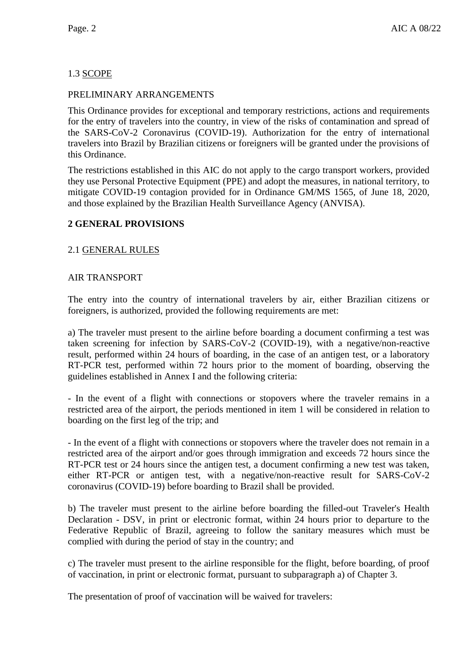# 1.3 SCOPE

### PRELIMINARY ARRANGEMENTS

This Ordinance provides for exceptional and temporary restrictions, actions and requirements for the entry of travelers into the country, in view of the risks of contamination and spread of the SARS-CoV-2 Coronavirus (COVID-19). Authorization for the entry of international travelers into Brazil by Brazilian citizens or foreigners will be granted under the provisions of this Ordinance.

The restrictions established in this AIC do not apply to the cargo transport workers, provided they use Personal Protective Equipment (PPE) and adopt the measures, in national territory, to mitigate COVID-19 contagion provided for in Ordinance GM/MS 1565, of June 18, 2020, and those explained by the Brazilian Health Surveillance Agency (ANVISA).

# **2 GENERAL PROVISIONS**

### 2.1 GENERAL RULES

### AIR TRANSPORT

The entry into the country of international travelers by air, either Brazilian citizens or foreigners, is authorized, provided the following requirements are met:

a) The traveler must present to the airline before boarding a document confirming a test was taken screening for infection by SARS-CoV-2 (COVID-19), with a negative/non-reactive result, performed within 24 hours of boarding, in the case of an antigen test, or a laboratory RT-PCR test, performed within 72 hours prior to the moment of boarding, observing the guidelines established in Annex I and the following criteria:

- In the event of a flight with connections or stopovers where the traveler remains in a restricted area of the airport, the periods mentioned in item 1 will be considered in relation to boarding on the first leg of the trip; and

- In the event of a flight with connections or stopovers where the traveler does not remain in a restricted area of the airport and/or goes through immigration and exceeds 72 hours since the RT-PCR test or 24 hours since the antigen test, a document confirming a new test was taken, either RT-PCR or antigen test, with a negative/non-reactive result for SARS-CoV-2 coronavirus (COVID-19) before boarding to Brazil shall be provided.

b) The traveler must present to the airline before boarding the filled-out Traveler's Health Declaration - DSV, in print or electronic format, within 24 hours prior to departure to the Federative Republic of Brazil, agreeing to follow the sanitary measures which must be complied with during the period of stay in the country; and

c) The traveler must present to the airline responsible for the flight, before boarding, of proof of vaccination, in print or electronic format, pursuant to subparagraph a) of Chapter 3.

The presentation of proof of vaccination will be waived for travelers: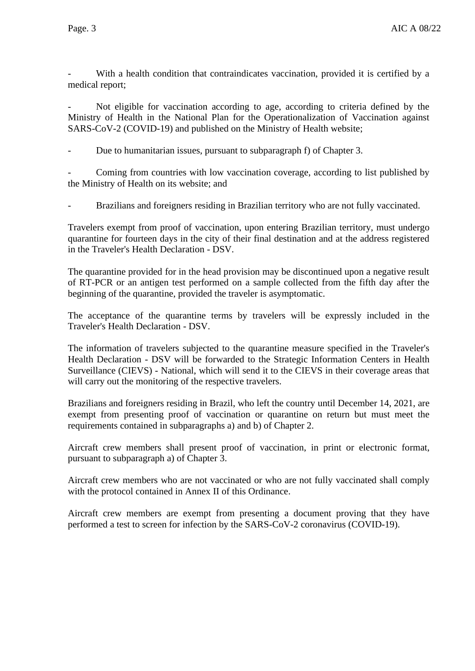With a health condition that contraindicates vaccination, provided it is certified by a medical report;

- Not eligible for vaccination according to age, according to criteria defined by the Ministry of Health in the National Plan for the Operationalization of Vaccination against SARS-CoV-2 (COVID-19) and published on the Ministry of Health website;

Due to humanitarian issues, pursuant to subparagraph f) of Chapter 3.

Coming from countries with low vaccination coverage, according to list published by the Ministry of Health on its website; and

Brazilians and foreigners residing in Brazilian territory who are not fully vaccinated.

Travelers exempt from proof of vaccination, upon entering Brazilian territory, must undergo quarantine for fourteen days in the city of their final destination and at the address registered in the Traveler's Health Declaration - DSV.

The quarantine provided for in the head provision may be discontinued upon a negative result of RT-PCR or an antigen test performed on a sample collected from the fifth day after the beginning of the quarantine, provided the traveler is asymptomatic.

The acceptance of the quarantine terms by travelers will be expressly included in the Traveler's Health Declaration - DSV.

The information of travelers subjected to the quarantine measure specified in the Traveler's Health Declaration - DSV will be forwarded to the Strategic Information Centers in Health Surveillance (CIEVS) - National, which will send it to the CIEVS in their coverage areas that will carry out the monitoring of the respective travelers.

Brazilians and foreigners residing in Brazil, who left the country until December 14, 2021, are exempt from presenting proof of vaccination or quarantine on return but must meet the requirements contained in subparagraphs a) and b) of Chapter 2.

Aircraft crew members shall present proof of vaccination, in print or electronic format, pursuant to subparagraph a) of Chapter 3.

Aircraft crew members who are not vaccinated or who are not fully vaccinated shall comply with the protocol contained in Annex II of this Ordinance.

Aircraft crew members are exempt from presenting a document proving that they have performed a test to screen for infection by the SARS-CoV-2 coronavirus (COVID-19).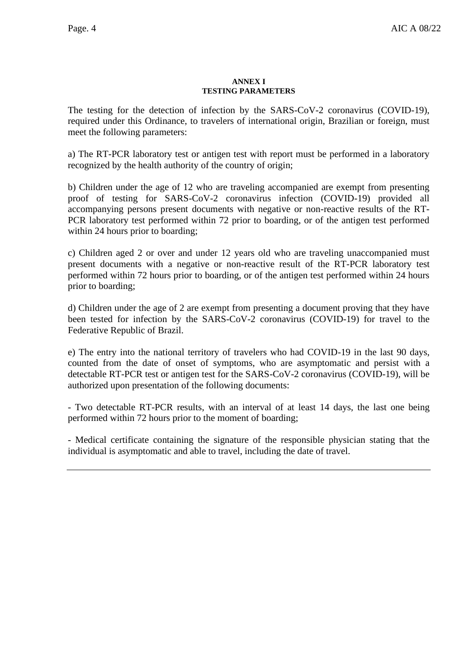#### **ANNEX I TESTING PARAMETERS**

The testing for the detection of infection by the SARS-CoV-2 coronavirus (COVID-19), required under this Ordinance, to travelers of international origin, Brazilian or foreign, must meet the following parameters:

a) The RT-PCR laboratory test or antigen test with report must be performed in a laboratory recognized by the health authority of the country of origin;

b) Children under the age of 12 who are traveling accompanied are exempt from presenting proof of testing for SARS-CoV-2 coronavirus infection (COVID-19) provided all accompanying persons present documents with negative or non-reactive results of the RT-PCR laboratory test performed within 72 prior to boarding, or of the antigen test performed within 24 hours prior to boarding;

c) Children aged 2 or over and under 12 years old who are traveling unaccompanied must present documents with a negative or non-reactive result of the RT-PCR laboratory test performed within 72 hours prior to boarding, or of the antigen test performed within 24 hours prior to boarding;

d) Children under the age of 2 are exempt from presenting a document proving that they have been tested for infection by the SARS-CoV-2 coronavirus (COVID-19) for travel to the Federative Republic of Brazil.

e) The entry into the national territory of travelers who had COVID-19 in the last 90 days, counted from the date of onset of symptoms, who are asymptomatic and persist with a detectable RT-PCR test or antigen test for the SARS-CoV-2 coronavirus (COVID-19), will be authorized upon presentation of the following documents:

- Two detectable RT-PCR results, with an interval of at least 14 days, the last one being performed within 72 hours prior to the moment of boarding;

- Medical certificate containing the signature of the responsible physician stating that the individual is asymptomatic and able to travel, including the date of travel.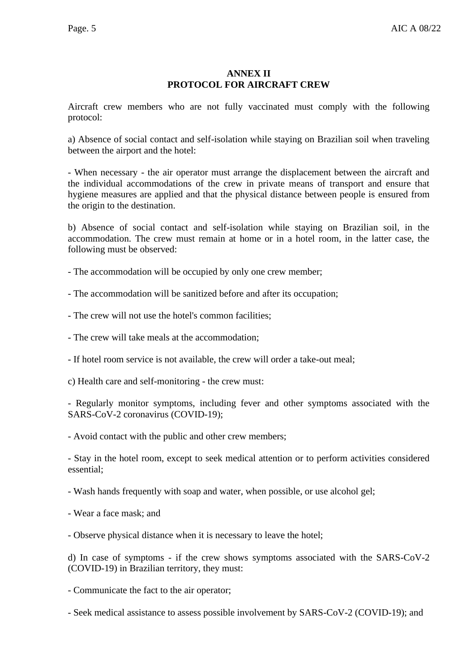## **ANNEX II PROTOCOL FOR AIRCRAFT CREW**

Aircraft crew members who are not fully vaccinated must comply with the following protocol:

a) Absence of social contact and self-isolation while staying on Brazilian soil when traveling between the airport and the hotel:

- When necessary - the air operator must arrange the displacement between the aircraft and the individual accommodations of the crew in private means of transport and ensure that hygiene measures are applied and that the physical distance between people is ensured from the origin to the destination.

b) Absence of social contact and self-isolation while staying on Brazilian soil, in the accommodation. The crew must remain at home or in a hotel room, in the latter case, the following must be observed:

- The accommodation will be occupied by only one crew member;

- The accommodation will be sanitized before and after its occupation;

- The crew will not use the hotel's common facilities;

- The crew will take meals at the accommodation;

- If hotel room service is not available, the crew will order a take-out meal;

c) Health care and self-monitoring - the crew must:

- Regularly monitor symptoms, including fever and other symptoms associated with the SARS-CoV-2 coronavirus (COVID-19);

- Avoid contact with the public and other crew members;

- Stay in the hotel room, except to seek medical attention or to perform activities considered essential;

- Wash hands frequently with soap and water, when possible, or use alcohol gel;

- Wear a face mask; and

- Observe physical distance when it is necessary to leave the hotel;

d) In case of symptoms - if the crew shows symptoms associated with the SARS-CoV-2 (COVID-19) in Brazilian territory, they must:

- Communicate the fact to the air operator;

- Seek medical assistance to assess possible involvement by SARS-CoV-2 (COVID-19); and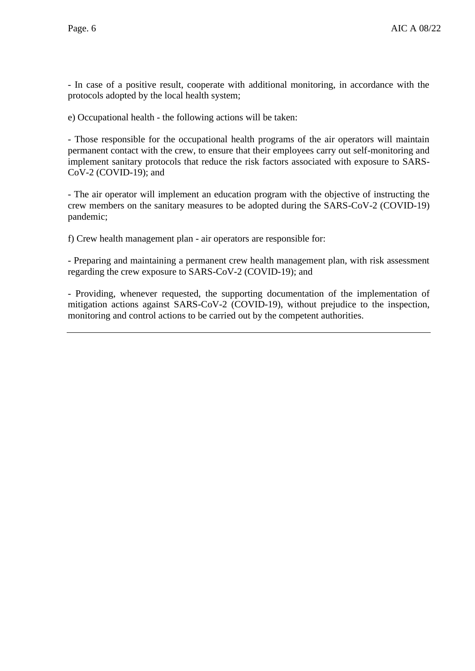- In case of a positive result, cooperate with additional monitoring, in accordance with the protocols adopted by the local health system;

e) Occupational health - the following actions will be taken:

- Those responsible for the occupational health programs of the air operators will maintain permanent contact with the crew, to ensure that their employees carry out self-monitoring and implement sanitary protocols that reduce the risk factors associated with exposure to SARS-CoV-2 (COVID-19); and

- The air operator will implement an education program with the objective of instructing the crew members on the sanitary measures to be adopted during the SARS-CoV-2 (COVID-19) pandemic;

f) Crew health management plan - air operators are responsible for:

- Preparing and maintaining a permanent crew health management plan, with risk assessment regarding the crew exposure to SARS-CoV-2 (COVID-19); and

- Providing, whenever requested, the supporting documentation of the implementation of mitigation actions against SARS-CoV-2 (COVID-19), without prejudice to the inspection, monitoring and control actions to be carried out by the competent authorities.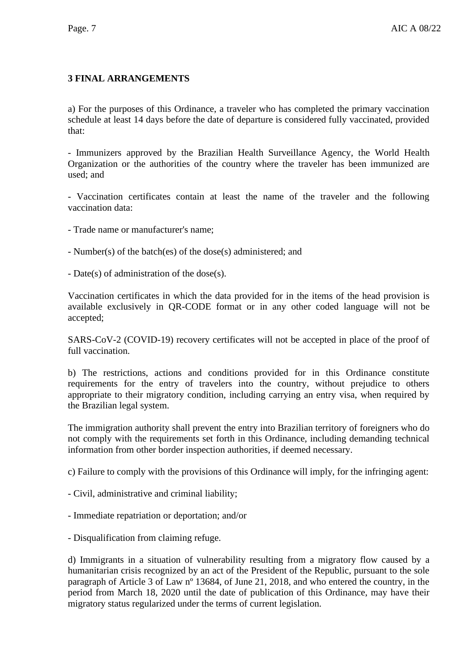# **3 FINAL ARRANGEMENTS**

a) For the purposes of this Ordinance, a traveler who has completed the primary vaccination schedule at least 14 days before the date of departure is considered fully vaccinated, provided that:

- Immunizers approved by the Brazilian Health Surveillance Agency, the World Health Organization or the authorities of the country where the traveler has been immunized are used; and

- Vaccination certificates contain at least the name of the traveler and the following vaccination data:

- Trade name or manufacturer's name;

- Number(s) of the batch(es) of the dose(s) administered; and

- Date(s) of administration of the dose(s).

Vaccination certificates in which the data provided for in the items of the head provision is available exclusively in QR-CODE format or in any other coded language will not be accepted;

SARS-CoV-2 (COVID-19) recovery certificates will not be accepted in place of the proof of full vaccination.

b) The restrictions, actions and conditions provided for in this Ordinance constitute requirements for the entry of travelers into the country, without prejudice to others appropriate to their migratory condition, including carrying an entry visa, when required by the Brazilian legal system.

The immigration authority shall prevent the entry into Brazilian territory of foreigners who do not comply with the requirements set forth in this Ordinance, including demanding technical information from other border inspection authorities, if deemed necessary.

c) Failure to comply with the provisions of this Ordinance will imply, for the infringing agent:

- Civil, administrative and criminal liability;

- Immediate repatriation or deportation; and/or

- Disqualification from claiming refuge.

d) Immigrants in a situation of vulnerability resulting from a migratory flow caused by a humanitarian crisis recognized by an act of the President of the Republic, pursuant to the sole paragraph of Article 3 of Law nº 13684, of June 21, 2018, and who entered the country, in the period from March 18, 2020 until the date of publication of this Ordinance, may have their migratory status regularized under the terms of current legislation.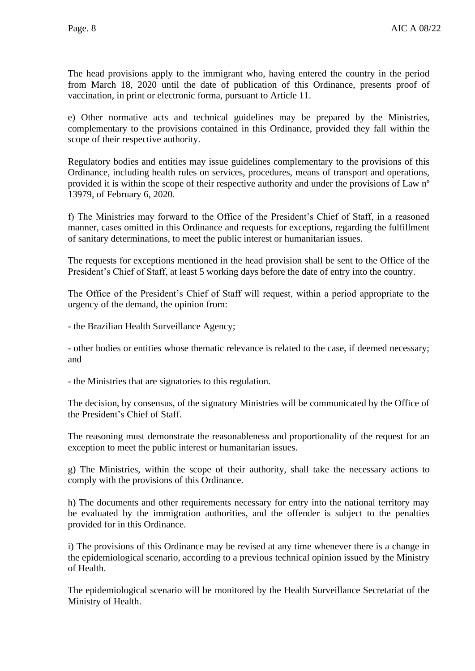The head provisions apply to the immigrant who, having entered the country in the period from March 18, 2020 until the date of publication of this Ordinance, presents proof of vaccination, in print or electronic forma, pursuant to Article 11.

e) Other normative acts and technical guidelines may be prepared by the Ministries, complementary to the provisions contained in this Ordinance, provided they fall within the scope of their respective authority.

Regulatory bodies and entities may issue guidelines complementary to the provisions of this Ordinance, including health rules on services, procedures, means of transport and operations, provided it is within the scope of their respective authority and under the provisions of Law nº 13979, of February 6, 2020.

f) The Ministries may forward to the Office of the President's Chief of Staff, in a reasoned manner, cases omitted in this Ordinance and requests for exceptions, regarding the fulfillment of sanitary determinations, to meet the public interest or humanitarian issues.

The requests for exceptions mentioned in the head provision shall be sent to the Office of the President's Chief of Staff, at least 5 working days before the date of entry into the country.

The Office of the President's Chief of Staff will request, within a period appropriate to the urgency of the demand, the opinion from:

- the Brazilian Health Surveillance Agency;

- other bodies or entities whose thematic relevance is related to the case, if deemed necessary; and

- the Ministries that are signatories to this regulation.

The decision, by consensus, of the signatory Ministries will be communicated by the Office of the President's Chief of Staff.

The reasoning must demonstrate the reasonableness and proportionality of the request for an exception to meet the public interest or humanitarian issues.

g) The Ministries, within the scope of their authority, shall take the necessary actions to comply with the provisions of this Ordinance.

h) The documents and other requirements necessary for entry into the national territory may be evaluated by the immigration authorities, and the offender is subject to the penalties provided for in this Ordinance.

i) The provisions of this Ordinance may be revised at any time whenever there is a change in the epidemiological scenario, according to a previous technical opinion issued by the Ministry of Health.

The epidemiological scenario will be monitored by the Health Surveillance Secretariat of the Ministry of Health.